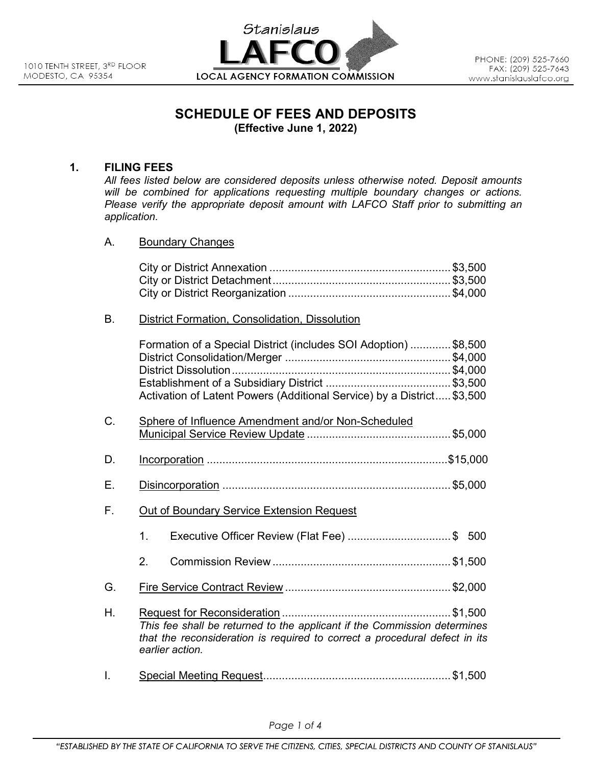

# **SCHEDULE OF FEES AND DEPOSITS (Effective June 1, 2022)**

## **1. FILING FEES**

*All fees listed below are considered deposits unless otherwise noted. Deposit amounts will be combined for applications requesting multiple boundary changes or actions. Please verify the appropriate deposit amount with LAFCO Staff prior to submitting an application.* 

A. Boundary Changes

### B. District Formation, Consolidation, Dissolution

|    | Formation of a Special District (includes SOI Adoption) \$8,500<br>Activation of Latent Powers (Additional Service) by a District \$3,500                                 |
|----|---------------------------------------------------------------------------------------------------------------------------------------------------------------------------|
| C. | Sphere of Influence Amendment and/or Non-Scheduled                                                                                                                        |
| D. |                                                                                                                                                                           |
| Е. |                                                                                                                                                                           |
| F. | Out of Boundary Service Extension Request                                                                                                                                 |
|    | Executive Officer Review (Flat Fee) \$ 500<br>1 <sub>1</sub>                                                                                                              |
|    | 2 <sub>1</sub>                                                                                                                                                            |
| G. |                                                                                                                                                                           |
| Η. | This fee shall be returned to the applicant if the Commission determines<br>that the reconsideration is required to correct a procedural defect in its<br>earlier action. |

I. Special Meeting Request ............................................................ \$1,500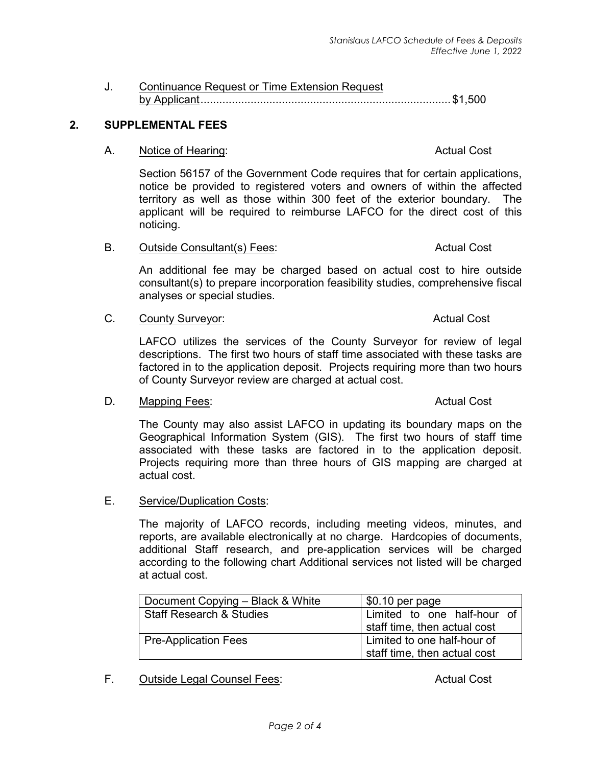# J. Continuance Request or Time Extension Request by Applicant ................................................................................ \$1,500

# **2. SUPPLEMENTAL FEES**

### A. Notice of Hearing: Actual Cost **Actual Cost**

Section 56157 of the Government Code requires that for certain applications, notice be provided to registered voters and owners of within the affected territory as well as those within 300 feet of the exterior boundary. The applicant will be required to reimburse LAFCO for the direct cost of this noticing.

B. Outside Consultant(s) Fees: Actual Cost Actual Cost

An additional fee may be charged based on actual cost to hire outside consultant(s) to prepare incorporation feasibility studies, comprehensive fiscal analyses or special studies.

C. County Surveyor: Cassing the Cost of County Surveyor: Actual Cost

LAFCO utilizes the services of the County Surveyor for review of legal descriptions. The first two hours of staff time associated with these tasks are factored in to the application deposit. Projects requiring more than two hours of County Surveyor review are charged at actual cost.

D. Mapping Fees: Actual Cost and The Mapping Fees: Actual Cost and The Mapping Terms and The Mapping Terms and The Mapping Terms and The Mapping Terms and Terms and Terms and Terms and Terms and Terms and Terms and Terms a

The County may also assist LAFCO in updating its boundary maps on the Geographical Information System (GIS). The first two hours of staff time associated with these tasks are factored in to the application deposit. Projects requiring more than three hours of GIS mapping are charged at actual cost.

E. Service/Duplication Costs:

The majority of LAFCO records, including meeting videos, minutes, and reports, are available electronically at no charge. Hardcopies of documents, additional Staff research, and pre-application services will be charged according to the following chart Additional services not listed will be charged at actual cost.

| Document Copying - Black & White    | $$0.10$ per page                                            |  |
|-------------------------------------|-------------------------------------------------------------|--|
| <b>Staff Research &amp; Studies</b> | Limited to one half-hour of<br>staff time, then actual cost |  |
| <b>Pre-Application Fees</b>         | Limited to one half-hour of<br>staff time, then actual cost |  |

F. Outside Legal Counsel Fees: Actual Cost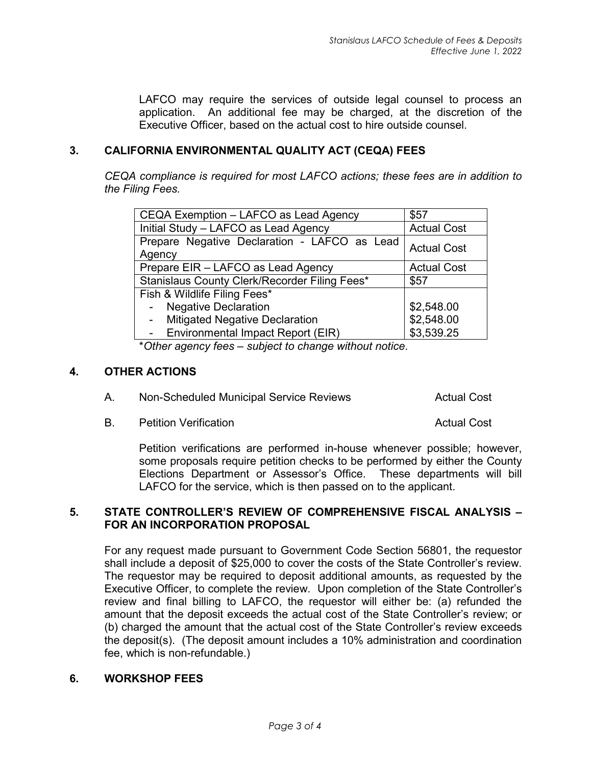LAFCO may require the services of outside legal counsel to process an application. An additional fee may be charged, at the discretion of the Executive Officer, based on the actual cost to hire outside counsel.

### **3. CALIFORNIA ENVIRONMENTAL QUALITY ACT (CEQA) FEES**

*CEQA compliance is required for most LAFCO actions; these fees are in addition to the Filing Fees.*

| CEQA Exemption - LAFCO as Lead Agency                  | \$57               |
|--------------------------------------------------------|--------------------|
| Initial Study - LAFCO as Lead Agency                   | <b>Actual Cost</b> |
| Prepare Negative Declaration - LAFCO as Lead<br>Agency | <b>Actual Cost</b> |
| Prepare EIR - LAFCO as Lead Agency                     | <b>Actual Cost</b> |
| Stanislaus County Clerk/Recorder Filing Fees*          | \$57               |
| Fish & Wildlife Filing Fees*                           |                    |
| <b>Negative Declaration</b><br>$\blacksquare$          | \$2,548.00         |
| <b>Mitigated Negative Declaration</b>                  | \$2,548.00         |
| Environmental Impact Report (EIR)                      | \$3,539.25         |

\**Other agency fees – subject to change without notice*.

### **4. OTHER ACTIONS**

| Non-Scheduled Municipal Service Reviews<br><b>Actual Cost</b><br>Α. |
|---------------------------------------------------------------------|
|---------------------------------------------------------------------|

B. Petition Verification **B. Actual Cost Actual Cost** 

Petition verifications are performed in-house whenever possible; however, some proposals require petition checks to be performed by either the County Elections Department or Assessor's Office. These departments will bill LAFCO for the service, which is then passed on to the applicant.

### **5. STATE CONTROLLER'S REVIEW OF COMPREHENSIVE FISCAL ANALYSIS – FOR AN INCORPORATION PROPOSAL**

For any request made pursuant to Government Code Section 56801, the requestor shall include a deposit of \$25,000 to cover the costs of the State Controller's review. The requestor may be required to deposit additional amounts, as requested by the Executive Officer, to complete the review. Upon completion of the State Controller's review and final billing to LAFCO, the requestor will either be: (a) refunded the amount that the deposit exceeds the actual cost of the State Controller's review; or (b) charged the amount that the actual cost of the State Controller's review exceeds the deposit(s). (The deposit amount includes a 10% administration and coordination fee, which is non-refundable.)

### **6. WORKSHOP FEES**